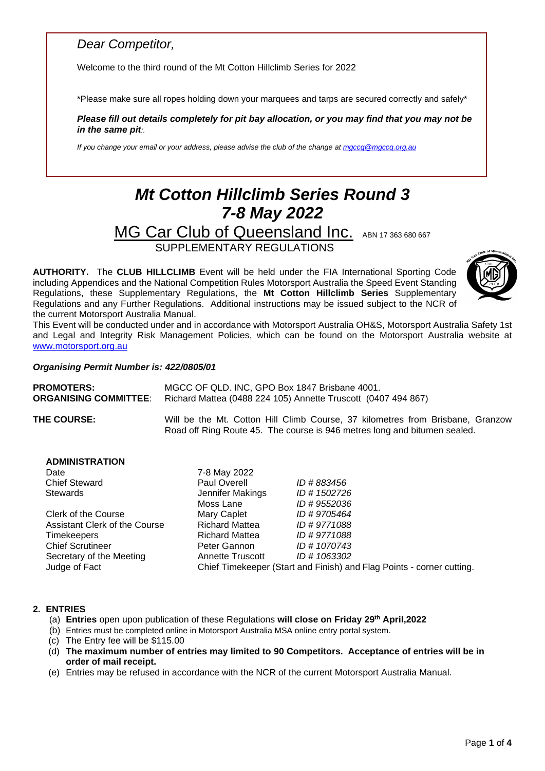### *Dear Competitor,*

Welcome to the third round of the Mt Cotton Hillclimb Series for 2022

\*Please make sure all ropes holding down your marquees and tarps are secured correctly and safely\*

*Please fill out details completely for pit bay allocation, or you may find that you may not be in the same pit:.*

*If you change your email or your address, please advise the club of the change a[t mgccq@mgccq.org.au](mailto:mgccq@mgccq.org.au)*

# *Mt Cotton Hillclimb Series Round 3 7-8 May 2022*

MG Car Club of Queensland Inc. ABN 17 363 680 667 SUPPLEMENTARY REGULATIONS

**AUTHORITY.** The **CLUB HILLCLIMB** Event will be held under the FIA International Sporting Code including Appendices and the National Competition Rules Motorsport Australia the Speed Event Standing Regulations, these Supplementary Regulations, the **Mt Cotton Hillclimb Series** Supplementary Regulations and any Further Regulations. Additional instructions may be issued subject to the NCR of the current Motorsport Australia Manual.



This Event will be conducted under and in accordance with Motorsport Australia OH&S, Motorsport Australia Safety 1st and Legal and Integrity Risk Management Policies, which can be found on the Motorsport Australia website at [www.motorsport.org.au](http://www.motorsport.org.au/)

#### *Organising Permit Number is: 422/0805/01*

| <b>PROMOTERS:</b>            | MGCC OF QLD. INC. GPO Box 1847 Brisbane 4001.                                                                                                               |  |  |
|------------------------------|-------------------------------------------------------------------------------------------------------------------------------------------------------------|--|--|
| <b>ORGANISING COMMITTEE:</b> | Richard Mattea (0488 224 105) Annette Truscott (0407 494 867)                                                                                               |  |  |
| <b>THE COURSE:</b>           | Will be the Mt. Cotton Hill Climb Course, 37 kilometres from Brisbane, Granzow<br>Road off Ring Route 45. The course is 946 metres long and bitumen sealed. |  |  |

#### **ADMINISTRATION**

| Date                          | 7-8 May 2022          |                                                                       |
|-------------------------------|-----------------------|-----------------------------------------------------------------------|
| <b>Chief Steward</b>          | Paul Overell          | ID # 883456                                                           |
| Stewards                      | Jennifer Makings      | ID # 1502726                                                          |
|                               | Moss Lane             | ID #9552036                                                           |
| <b>Clerk of the Course</b>    | Mary Caplet           | ID #9705464                                                           |
| Assistant Clerk of the Course | <b>Richard Mattea</b> | ID #9771088                                                           |
| <b>Timekeepers</b>            | <b>Richard Mattea</b> | ID #9771088                                                           |
| <b>Chief Scrutineer</b>       | Peter Gannon          | ID # 1070743                                                          |
| Secretary of the Meeting      | Annette Truscott      | ID # 1063302                                                          |
| Judge of Fact                 |                       | Chief Timekeeper (Start and Finish) and Flag Points - corner cutting. |

#### **2. ENTRIES**

- (a) **Entries** open upon publication of these Regulations **will close on Friday 29 th April,2022**
- (b) Entries must be completed online in Motorsport Australia MSA online entry portal system.
- (c) The Entry fee will be \$115.00
- (d) **The maximum number of entries may limited to 90 Competitors. Acceptance of entries will be in order of mail receipt.**
- (e) Entries may be refused in accordance with the NCR of the current Motorsport Australia Manual.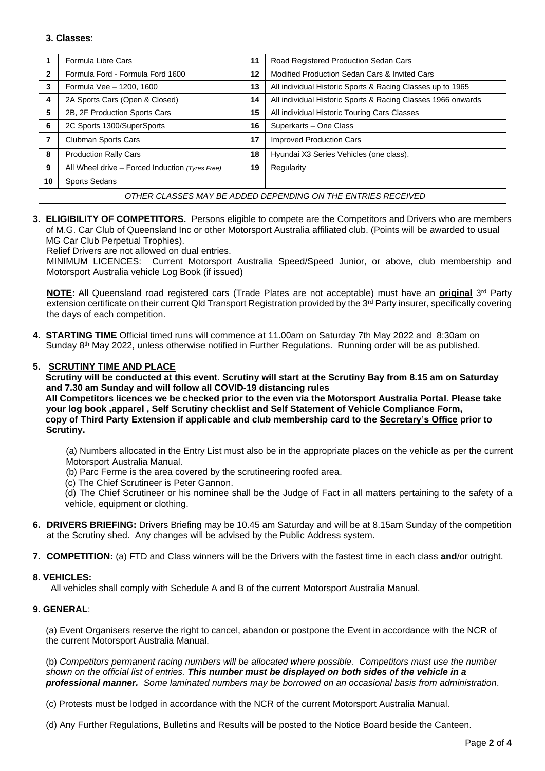#### **3. Classes**:

|                                                              | Formula Libre Cars                                | 11 | Road Registered Production Sedan Cars                        |  |
|--------------------------------------------------------------|---------------------------------------------------|----|--------------------------------------------------------------|--|
| 2                                                            | Formula Ford - Formula Ford 1600                  | 12 | Modified Production Sedan Cars & Invited Cars                |  |
| 3                                                            | Formula Vee - 1200, 1600                          |    | All individual Historic Sports & Racing Classes up to 1965   |  |
| 4                                                            | 2A Sports Cars (Open & Closed)                    | 14 | All individual Historic Sports & Racing Classes 1966 onwards |  |
| 5                                                            | 2B, 2F Production Sports Cars                     | 15 | All individual Historic Touring Cars Classes                 |  |
| 6                                                            | 2C Sports 1300/SuperSports                        | 16 | Superkarts - One Class                                       |  |
| 7                                                            | Clubman Sports Cars                               | 17 | <b>Improved Production Cars</b>                              |  |
| 8                                                            | <b>Production Rally Cars</b>                      | 18 | Hyundai X3 Series Vehicles (one class).                      |  |
| 9                                                            | All Wheel drive $-$ Forced Induction (Tyres Free) | 19 | Regularity                                                   |  |
| 10                                                           | <b>Sports Sedans</b>                              |    |                                                              |  |
| OTHER CLASSES MAY BE ADDED DEPENDING ON THE ENTRIES RECEIVED |                                                   |    |                                                              |  |

**3. ELIGIBILITY OF COMPETITORS.** Persons eligible to compete are the Competitors and Drivers who are members of M.G. Car Club of Queensland Inc or other Motorsport Australia affiliated club. (Points will be awarded to usual MG Car Club Perpetual Trophies).

Relief Drivers are not allowed on dual entries.

MINIMUM LICENCES: Current Motorsport Australia Speed/Speed Junior, or above, club membership and Motorsport Australia vehicle Log Book (if issued)

**NOTE:** All Queensland road registered cars (Trade Plates are not acceptable) must have an **original** 3 rd Party extension certificate on their current Qld Transport Registration provided by the 3<sup>rd</sup> Party insurer, specifically covering the days of each competition.

**4. STARTING TIME** Official timed runs will commence at 11.00am on Saturday 7th May 2022 and 8:30am on Sunday 8<sup>th</sup> May 2022, unless otherwise notified in Further Regulations. Running order will be as published.

#### **5. SCRUTINY TIME AND PLACE**

 **Scrutiny will be conducted at this event**. **Scrutiny will start at the Scrutiny Bay from 8.15 am on Saturday and 7.30 am Sunday and will follow all COVID-19 distancing rules** 

 **All Competitors licences we be checked prior to the even via the Motorsport Australia Portal. Please take your log book ,apparel , Self Scrutiny checklist and Self Statement of Vehicle Compliance Form, copy of Third Party Extension if applicable and club membership card to the Secretary's Office prior to Scrutiny.**

(a) Numbers allocated in the Entry List must also be in the appropriate places on the vehicle as per the current Motorsport Australia Manual.

- (b) Parc Ferme is the area covered by the scrutineering roofed area.
- (c) The Chief Scrutineer is Peter Gannon.

(d) The Chief Scrutineer or his nominee shall be the Judge of Fact in all matters pertaining to the safety of a vehicle, equipment or clothing.

- **6. DRIVERS BRIEFING:** Drivers Briefing may be 10.45 am Saturday and will be at 8.15am Sunday of the competition at the Scrutiny shed. Any changes will be advised by the Public Address system.
- **7. COMPETITION:** (a) FTD and Class winners will be the Drivers with the fastest time in each class **and**/or outright.

#### **8. VEHICLES:**

All vehicles shall comply with Schedule A and B of the current Motorsport Australia Manual.

#### **9. GENERAL**:

(a) Event Organisers reserve the right to cancel, abandon or postpone the Event in accordance with the NCR of the current Motorsport Australia Manual.

(b) *Competitors permanent racing numbers will be allocated where possible. Competitors must use the number shown on the official list of entries. This number must be displayed on both sides of the vehicle in a professional manner. Some laminated numbers may be borrowed on an occasional basis from administration*.

(c) Protests must be lodged in accordance with the NCR of the current Motorsport Australia Manual.

(d) Any Further Regulations, Bulletins and Results will be posted to the Notice Board beside the Canteen.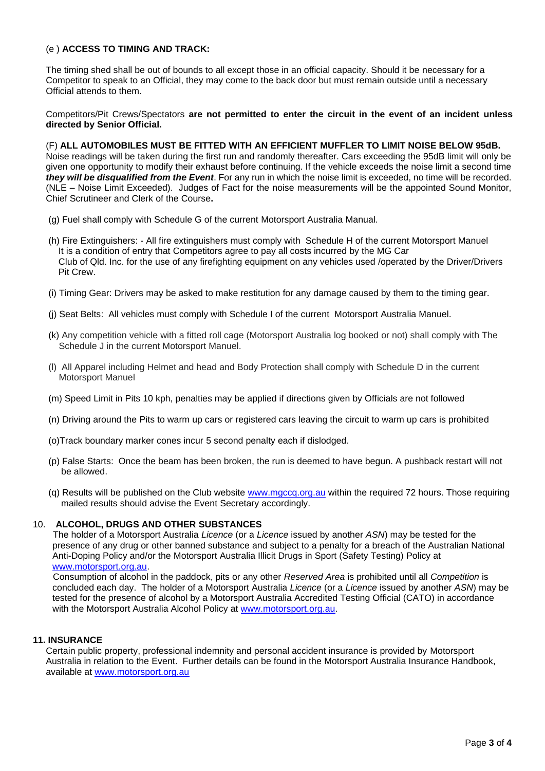#### (e ) **ACCESS TO TIMING AND TRACK:**

The timing shed shall be out of bounds to all except those in an official capacity. Should it be necessary for a Competitor to speak to an Official, they may come to the back door but must remain outside until a necessary Official attends to them.

Competitors/Pit Crews/Spectators **are not permitted to enter the circuit in the event of an incident unless directed by Senior Official.** 

(F) **ALL AUTOMOBILES MUST BE FITTED WITH AN EFFICIENT MUFFLER TO LIMIT NOISE BELOW 95dB.** Noise readings will be taken during the first run and randomly thereafter. Cars exceeding the 95dB limit will only be given one opportunity to modify their exhaust before continuing. If the vehicle exceeds the noise limit a second time *they will be disqualified from the Event*. For any run in which the noise limit is exceeded, no time will be recorded. (NLE – Noise Limit Exceeded). Judges of Fact for the noise measurements will be the appointed Sound Monitor, Chief Scrutineer and Clerk of the Course**.**

- (g) Fuel shall comply with Schedule G of the current Motorsport Australia Manual.
- (h) Fire Extinguishers: All fire extinguishers must comply with Schedule H of the current Motorsport Manuel It is a condition of entry that Competitors agree to pay all costs incurred by the MG Car Club of Qld. Inc. for the use of any firefighting equipment on any vehicles used /operated by the Driver/Drivers Pit Crew.
- (i) Timing Gear: Drivers may be asked to make restitution for any damage caused by them to the timing gear.
- (j) Seat Belts: All vehicles must comply with Schedule I of the current Motorsport Australia Manuel.
- (k) Any competition vehicle with a fitted roll cage (Motorsport Australia log booked or not) shall comply with The Schedule J in the current Motorsport Manuel.
- (l) All Apparel including Helmet and head and Body Protection shall comply with Schedule D in the current Motorsport Manuel
- (m) Speed Limit in Pits 10 kph, penalties may be applied if directions given by Officials are not followed
- (n) Driving around the Pits to warm up cars or registered cars leaving the circuit to warm up cars is prohibited
- (o)Track boundary marker cones incur 5 second penalty each if dislodged.
- (p) False Starts: Once the beam has been broken, the run is deemed to have begun. A pushback restart will not be allowed.
- (q) Results will be published on the Club website [www.mgccq.org.au](http://www.mgccq.org.au/) within the required 72 hours. Those requiring mailed results should advise the Event Secretary accordingly.

#### 10. **ALCOHOL, DRUGS AND OTHER SUBSTANCES**

The holder of a Motorsport Australia *Licence* (or a *Licence* issued by another *ASN*) may be tested for the presence of any drug or other banned substance and subject to a penalty for a breach of the Australian National Anti-Doping Policy and/or the Motorsport Australia Illicit Drugs in Sport (Safety Testing) Policy at [www.motorsport.org.au.](http://www.motorsport.org.au/)

Consumption of alcohol in the paddock, pits or any other *Reserved Area* is prohibited until all *Competition* is concluded each day. The holder of a Motorsport Australia *Licence* (or a *Licence* issued by another *ASN*) may be tested for the presence of alcohol by a Motorsport Australia Accredited Testing Official (CATO) in accordance with the Motorsport Australia Alcohol Policy at [www.motorsport.org.au.](http://www.motorsport.org.au/)

#### **11. INSURANCE**

Certain public property, professional indemnity and personal accident insurance is provided by Motorsport Australia in relation to the Event. Further details can be found in the Motorsport Australia Insurance Handbook, available at [www.motorsport.org.au](http://www.motorsport.org.au/)